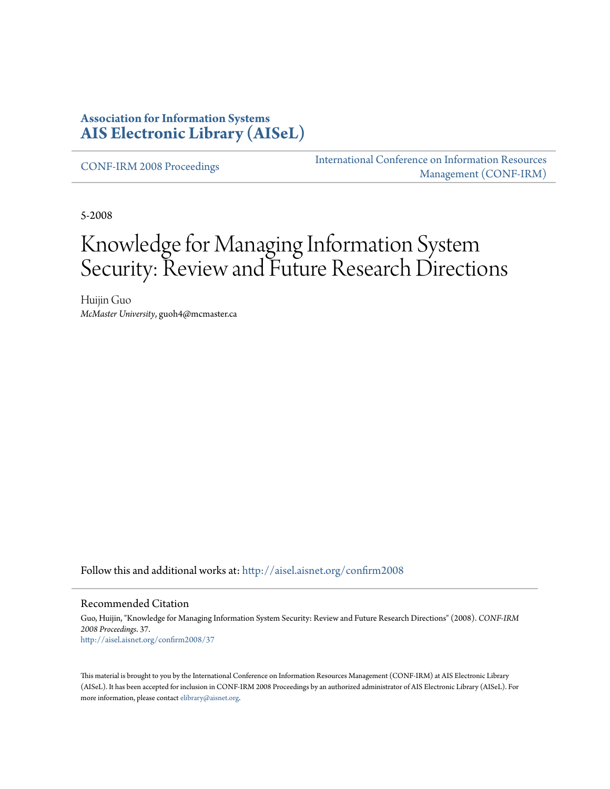## **Association for Information Systems [AIS Electronic Library \(AISeL\)](http://aisel.aisnet.org?utm_source=aisel.aisnet.org%2Fconfirm2008%2F37&utm_medium=PDF&utm_campaign=PDFCoverPages)**

[CONF-IRM 2008 Proceedings](http://aisel.aisnet.org/confirm2008?utm_source=aisel.aisnet.org%2Fconfirm2008%2F37&utm_medium=PDF&utm_campaign=PDFCoverPages)

[International Conference on Information Resources](http://aisel.aisnet.org/conf-irm?utm_source=aisel.aisnet.org%2Fconfirm2008%2F37&utm_medium=PDF&utm_campaign=PDFCoverPages) [Management \(CONF-IRM\)](http://aisel.aisnet.org/conf-irm?utm_source=aisel.aisnet.org%2Fconfirm2008%2F37&utm_medium=PDF&utm_campaign=PDFCoverPages)

5-2008

# Knowledge for Managing Information System Security: Review and Future Research Directions

Huijin Guo *McMaster University*, guoh4@mcmaster.ca

Follow this and additional works at: [http://aisel.aisnet.org/confirm2008](http://aisel.aisnet.org/confirm2008?utm_source=aisel.aisnet.org%2Fconfirm2008%2F37&utm_medium=PDF&utm_campaign=PDFCoverPages)

#### Recommended Citation

Guo, Huijin, "Knowledge for Managing Information System Security: Review and Future Research Directions" (2008). *CONF-IRM 2008 Proceedings*. 37. [http://aisel.aisnet.org/confirm2008/37](http://aisel.aisnet.org/confirm2008/37?utm_source=aisel.aisnet.org%2Fconfirm2008%2F37&utm_medium=PDF&utm_campaign=PDFCoverPages)

This material is brought to you by the International Conference on Information Resources Management (CONF-IRM) at AIS Electronic Library (AISeL). It has been accepted for inclusion in CONF-IRM 2008 Proceedings by an authorized administrator of AIS Electronic Library (AISeL). For more information, please contact [elibrary@aisnet.org.](mailto:elibrary@aisnet.org%3E)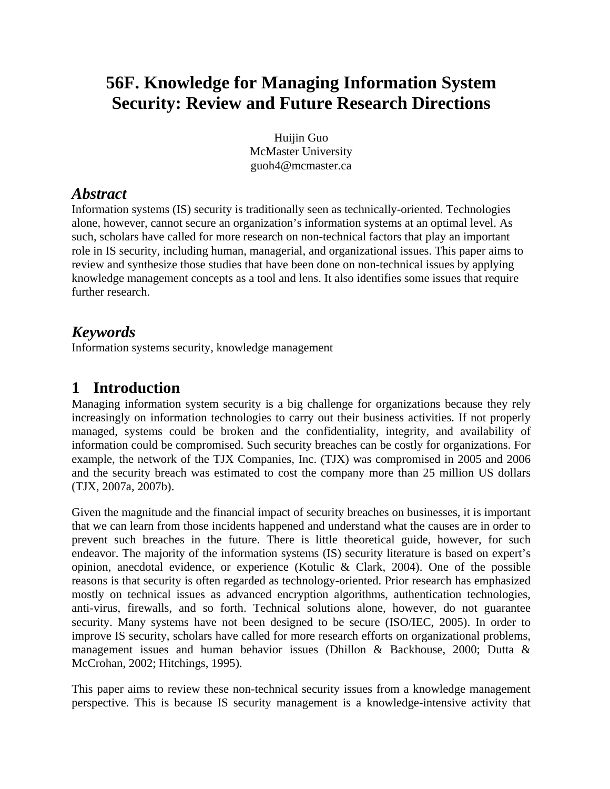# **56F. Knowledge for Managing Information System Security: Review and Future Research Directions**

Huijin Guo McMaster University guoh4@mcmaster.ca

# *Abstract*

Information systems (IS) security is traditionally seen as technically-oriented. Technologies alone, however, cannot secure an organization's information systems at an optimal level. As such, scholars have called for more research on non-technical factors that play an important role in IS security, including human, managerial, and organizational issues. This paper aims to review and synthesize those studies that have been done on non-technical issues by applying knowledge management concepts as a tool and lens. It also identifies some issues that require further research.

# *Keywords*

Information systems security, knowledge management

# **1 Introduction**

Managing information system security is a big challenge for organizations because they rely increasingly on information technologies to carry out their business activities. If not properly managed, systems could be broken and the confidentiality, integrity, and availability of information could be compromised. Such security breaches can be costly for organizations. For example, the network of the TJX Companies, Inc. (TJX) was compromised in 2005 and 2006 and the security breach was estimated to cost the company more than 25 million US dollars (TJX, 2007a, 2007b).

Given the magnitude and the financial impact of security breaches on businesses, it is important that we can learn from those incidents happened and understand what the causes are in order to prevent such breaches in the future. There is little theoretical guide, however, for such endeavor. The majority of the information systems (IS) security literature is based on expert's opinion, anecdotal evidence, or experience (Kotulic & Clark, 2004). One of the possible reasons is that security is often regarded as technology-oriented. Prior research has emphasized mostly on technical issues as advanced encryption algorithms, authentication technologies, anti-virus, firewalls, and so forth. Technical solutions alone, however, do not guarantee security. Many systems have not been designed to be secure (ISO/IEC, 2005). In order to improve IS security, scholars have called for more research efforts on organizational problems, management issues and human behavior issues (Dhillon & Backhouse, 2000; Dutta & McCrohan, 2002; Hitchings, 1995).

This paper aims to review these non-technical security issues from a knowledge management perspective. This is because IS security management is a knowledge-intensive activity that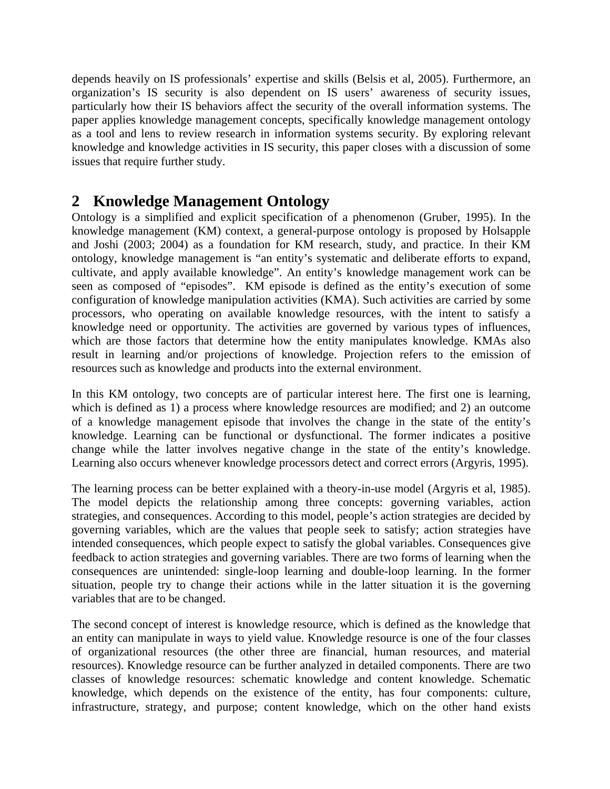depends heavily on IS professionals' expertise and skills (Belsis et al, 2005). Furthermore, an organization's IS security is also dependent on IS users' awareness of security issues, particularly how their IS behaviors affect the security of the overall information systems. The paper applies knowledge management concepts, specifically knowledge management ontology as a tool and lens to review research in information systems security. By exploring relevant knowledge and knowledge activities in IS security, this paper closes with a discussion of some issues that require further study.

## **2 Knowledge Management Ontology**

Ontology is a simplified and explicit specification of a phenomenon (Gruber, 1995). In the knowledge management (KM) context, a general-purpose ontology is proposed by Holsapple and Joshi (2003; 2004) as a foundation for KM research, study, and practice. In their KM ontology, knowledge management is "an entity's systematic and deliberate efforts to expand, cultivate, and apply available knowledge". An entity's knowledge management work can be seen as composed of "episodes". KM episode is defined as the entity's execution of some configuration of knowledge manipulation activities (KMA). Such activities are carried by some processors, who operating on available knowledge resources, with the intent to satisfy a knowledge need or opportunity. The activities are governed by various types of influences, which are those factors that determine how the entity manipulates knowledge. KMAs also result in learning and/or projections of knowledge. Projection refers to the emission of resources such as knowledge and products into the external environment.

In this KM ontology, two concepts are of particular interest here. The first one is learning, which is defined as 1) a process where knowledge resources are modified; and 2) an outcome of a knowledge management episode that involves the change in the state of the entity's knowledge. Learning can be functional or dysfunctional. The former indicates a positive change while the latter involves negative change in the state of the entity's knowledge. Learning also occurs whenever knowledge processors detect and correct errors (Argyris, 1995).

The learning process can be better explained with a theory-in-use model (Argyris et al, 1985). The model depicts the relationship among three concepts: governing variables, action strategies, and consequences. According to this model, people's action strategies are decided by governing variables, which are the values that people seek to satisfy; action strategies have intended consequences, which people expect to satisfy the global variables. Consequences give feedback to action strategies and governing variables. There are two forms of learning when the consequences are unintended: single-loop learning and double-loop learning. In the former situation, people try to change their actions while in the latter situation it is the governing variables that are to be changed.

The second concept of interest is knowledge resource, which is defined as the knowledge that an entity can manipulate in ways to yield value. Knowledge resource is one of the four classes of organizational resources (the other three are financial, human resources, and material resources). Knowledge resource can be further analyzed in detailed components. There are two classes of knowledge resources: schematic knowledge and content knowledge. Schematic knowledge, which depends on the existence of the entity, has four components: culture, infrastructure, strategy, and purpose; content knowledge, which on the other hand exists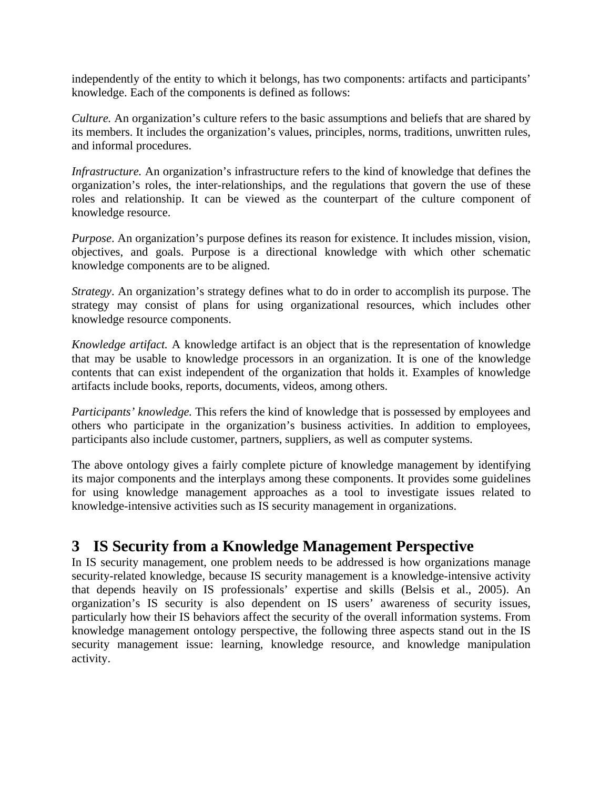independently of the entity to which it belongs, has two components: artifacts and participants' knowledge. Each of the components is defined as follows:

*Culture.* An organization's culture refers to the basic assumptions and beliefs that are shared by its members. It includes the organization's values, principles, norms, traditions, unwritten rules, and informal procedures.

*Infrastructure.* An organization's infrastructure refers to the kind of knowledge that defines the organization's roles, the inter-relationships, and the regulations that govern the use of these roles and relationship. It can be viewed as the counterpart of the culture component of knowledge resource.

*Purpose*. An organization's purpose defines its reason for existence. It includes mission, vision, objectives, and goals. Purpose is a directional knowledge with which other schematic knowledge components are to be aligned.

*Strategy*. An organization's strategy defines what to do in order to accomplish its purpose. The strategy may consist of plans for using organizational resources, which includes other knowledge resource components.

*Knowledge artifact.* A knowledge artifact is an object that is the representation of knowledge that may be usable to knowledge processors in an organization. It is one of the knowledge contents that can exist independent of the organization that holds it. Examples of knowledge artifacts include books, reports, documents, videos, among others.

*Participants' knowledge.* This refers the kind of knowledge that is possessed by employees and others who participate in the organization's business activities. In addition to employees, participants also include customer, partners, suppliers, as well as computer systems.

The above ontology gives a fairly complete picture of knowledge management by identifying its major components and the interplays among these components. It provides some guidelines for using knowledge management approaches as a tool to investigate issues related to knowledge-intensive activities such as IS security management in organizations.

# **3 IS Security from a Knowledge Management Perspective**

In IS security management, one problem needs to be addressed is how organizations manage security-related knowledge, because IS security management is a knowledge-intensive activity that depends heavily on IS professionals' expertise and skills (Belsis et al., 2005). An organization's IS security is also dependent on IS users' awareness of security issues, particularly how their IS behaviors affect the security of the overall information systems. From knowledge management ontology perspective, the following three aspects stand out in the IS security management issue: learning, knowledge resource, and knowledge manipulation activity.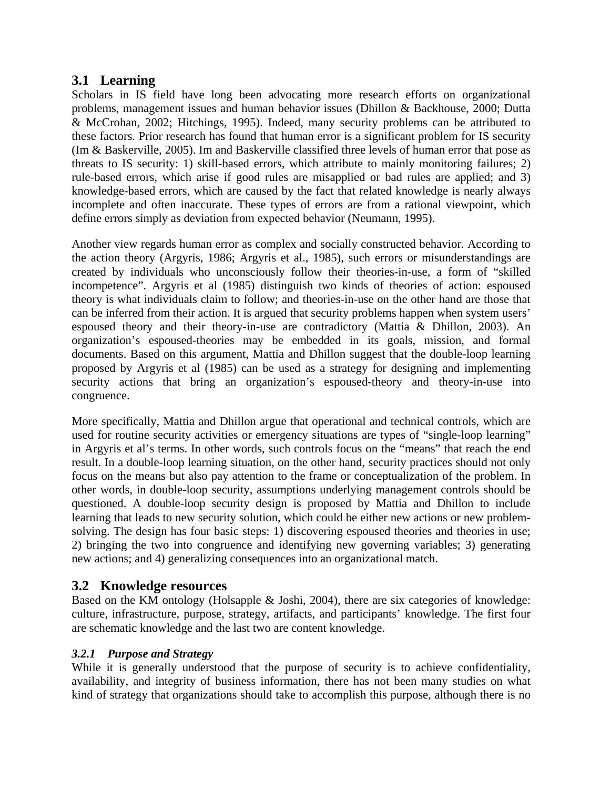### **3.1 Learning**

Scholars in IS field have long been advocating more research efforts on organizational problems, management issues and human behavior issues (Dhillon & Backhouse, 2000; Dutta & McCrohan, 2002; Hitchings, 1995). Indeed, many security problems can be attributed to these factors. Prior research has found that human error is a significant problem for IS security (Im & Baskerville, 2005). Im and Baskerville classified three levels of human error that pose as threats to IS security: 1) skill-based errors, which attribute to mainly monitoring failures; 2) rule-based errors, which arise if good rules are misapplied or bad rules are applied; and 3) knowledge-based errors, which are caused by the fact that related knowledge is nearly always incomplete and often inaccurate. These types of errors are from a rational viewpoint, which define errors simply as deviation from expected behavior (Neumann, 1995).

Another view regards human error as complex and socially constructed behavior. According to the action theory (Argyris, 1986; Argyris et al., 1985), such errors or misunderstandings are created by individuals who unconsciously follow their theories-in-use, a form of "skilled incompetence". Argyris et al (1985) distinguish two kinds of theories of action: espoused theory is what individuals claim to follow; and theories-in-use on the other hand are those that can be inferred from their action. It is argued that security problems happen when system users' espoused theory and their theory-in-use are contradictory (Mattia & Dhillon, 2003). An organization's espoused-theories may be embedded in its goals, mission, and formal documents. Based on this argument, Mattia and Dhillon suggest that the double-loop learning proposed by Argyris et al (1985) can be used as a strategy for designing and implementing security actions that bring an organization's espoused-theory and theory-in-use into congruence.

More specifically, Mattia and Dhillon argue that operational and technical controls, which are used for routine security activities or emergency situations are types of "single-loop learning" in Argyris et al's terms. In other words, such controls focus on the "means" that reach the end result. In a double-loop learning situation, on the other hand, security practices should not only focus on the means but also pay attention to the frame or conceptualization of the problem. In other words, in double-loop security, assumptions underlying management controls should be questioned. A double-loop security design is proposed by Mattia and Dhillon to include learning that leads to new security solution, which could be either new actions or new problemsolving. The design has four basic steps: 1) discovering espoused theories and theories in use; 2) bringing the two into congruence and identifying new governing variables; 3) generating new actions; and 4) generalizing consequences into an organizational match.

## **3.2 Knowledge resources**

Based on the KM ontology (Holsapple & Joshi, 2004), there are six categories of knowledge: culture, infrastructure, purpose, strategy, artifacts, and participants' knowledge. The first four are schematic knowledge and the last two are content knowledge.

### *3.2.1 Purpose and Strategy*

While it is generally understood that the purpose of security is to achieve confidentiality, availability, and integrity of business information, there has not been many studies on what kind of strategy that organizations should take to accomplish this purpose, although there is no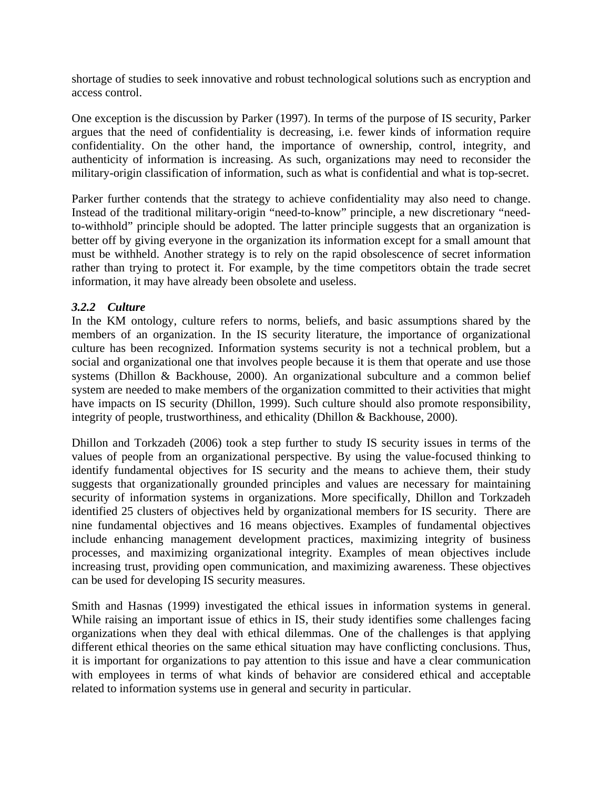shortage of studies to seek innovative and robust technological solutions such as encryption and access control.

One exception is the discussion by Parker (1997). In terms of the purpose of IS security, Parker argues that the need of confidentiality is decreasing, i.e. fewer kinds of information require confidentiality. On the other hand, the importance of ownership, control, integrity, and authenticity of information is increasing. As such, organizations may need to reconsider the military-origin classification of information, such as what is confidential and what is top-secret.

Parker further contends that the strategy to achieve confidentiality may also need to change. Instead of the traditional military-origin "need-to-know" principle, a new discretionary "needto-withhold" principle should be adopted. The latter principle suggests that an organization is better off by giving everyone in the organization its information except for a small amount that must be withheld. Another strategy is to rely on the rapid obsolescence of secret information rather than trying to protect it. For example, by the time competitors obtain the trade secret information, it may have already been obsolete and useless.

#### *3.2.2 Culture*

In the KM ontology, culture refers to norms, beliefs, and basic assumptions shared by the members of an organization. In the IS security literature, the importance of organizational culture has been recognized. Information systems security is not a technical problem, but a social and organizational one that involves people because it is them that operate and use those systems (Dhillon & Backhouse, 2000). An organizational subculture and a common belief system are needed to make members of the organization committed to their activities that might have impacts on IS security (Dhillon, 1999). Such culture should also promote responsibility, integrity of people, trustworthiness, and ethicality (Dhillon & Backhouse, 2000).

Dhillon and Torkzadeh (2006) took a step further to study IS security issues in terms of the values of people from an organizational perspective. By using the value-focused thinking to identify fundamental objectives for IS security and the means to achieve them, their study suggests that organizationally grounded principles and values are necessary for maintaining security of information systems in organizations. More specifically, Dhillon and Torkzadeh identified 25 clusters of objectives held by organizational members for IS security. There are nine fundamental objectives and 16 means objectives. Examples of fundamental objectives include enhancing management development practices, maximizing integrity of business processes, and maximizing organizational integrity. Examples of mean objectives include increasing trust, providing open communication, and maximizing awareness. These objectives can be used for developing IS security measures.

Smith and Hasnas (1999) investigated the ethical issues in information systems in general. While raising an important issue of ethics in IS, their study identifies some challenges facing organizations when they deal with ethical dilemmas. One of the challenges is that applying different ethical theories on the same ethical situation may have conflicting conclusions. Thus, it is important for organizations to pay attention to this issue and have a clear communication with employees in terms of what kinds of behavior are considered ethical and acceptable related to information systems use in general and security in particular.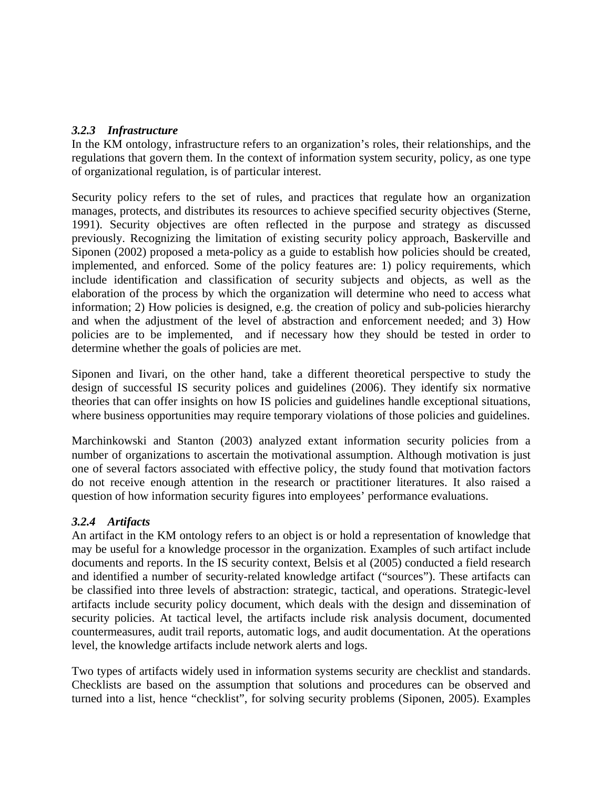#### *3.2.3 Infrastructure*

In the KM ontology, infrastructure refers to an organization's roles, their relationships, and the regulations that govern them. In the context of information system security, policy, as one type of organizational regulation, is of particular interest.

Security policy refers to the set of rules, and practices that regulate how an organization manages, protects, and distributes its resources to achieve specified security objectives (Sterne, 1991). Security objectives are often reflected in the purpose and strategy as discussed previously. Recognizing the limitation of existing security policy approach, Baskerville and Siponen (2002) proposed a meta-policy as a guide to establish how policies should be created, implemented, and enforced. Some of the policy features are: 1) policy requirements, which include identification and classification of security subjects and objects, as well as the elaboration of the process by which the organization will determine who need to access what information; 2) How policies is designed, e.g. the creation of policy and sub-policies hierarchy and when the adjustment of the level of abstraction and enforcement needed; and 3) How policies are to be implemented, and if necessary how they should be tested in order to determine whether the goals of policies are met.

Siponen and Iivari, on the other hand, take a different theoretical perspective to study the design of successful IS security polices and guidelines (2006). They identify six normative theories that can offer insights on how IS policies and guidelines handle exceptional situations, where business opportunities may require temporary violations of those policies and guidelines.

Marchinkowski and Stanton (2003) analyzed extant information security policies from a number of organizations to ascertain the motivational assumption. Although motivation is just one of several factors associated with effective policy, the study found that motivation factors do not receive enough attention in the research or practitioner literatures. It also raised a question of how information security figures into employees' performance evaluations.

### *3.2.4 Artifacts*

An artifact in the KM ontology refers to an object is or hold a representation of knowledge that may be useful for a knowledge processor in the organization. Examples of such artifact include documents and reports. In the IS security context, Belsis et al (2005) conducted a field research and identified a number of security-related knowledge artifact ("sources"). These artifacts can be classified into three levels of abstraction: strategic, tactical, and operations. Strategic-level artifacts include security policy document, which deals with the design and dissemination of security policies. At tactical level, the artifacts include risk analysis document, documented countermeasures, audit trail reports, automatic logs, and audit documentation. At the operations level, the knowledge artifacts include network alerts and logs.

Two types of artifacts widely used in information systems security are checklist and standards. Checklists are based on the assumption that solutions and procedures can be observed and turned into a list, hence "checklist", for solving security problems (Siponen, 2005). Examples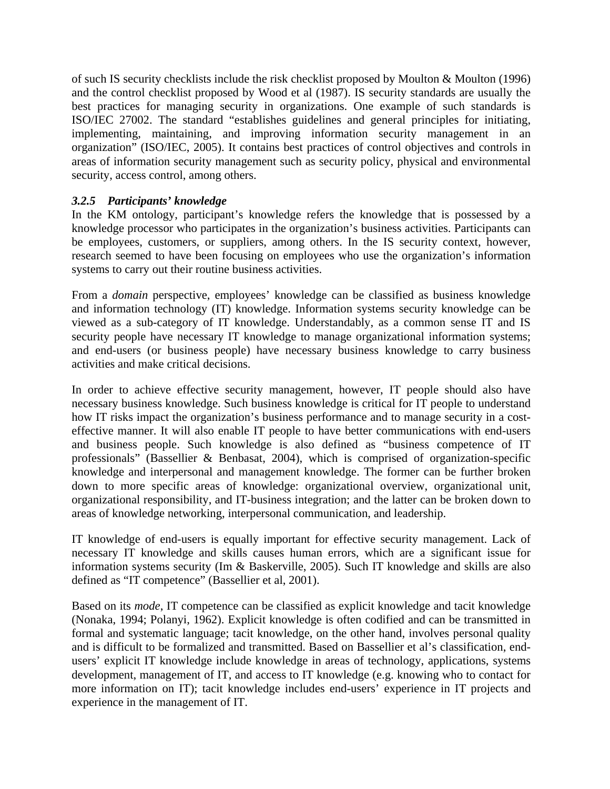of such IS security checklists include the risk checklist proposed by Moulton & Moulton (1996) and the control checklist proposed by Wood et al (1987). IS security standards are usually the best practices for managing security in organizations. One example of such standards is ISO/IEC 27002. The standard "establishes guidelines and general principles for initiating, implementing, maintaining, and improving information security management in an organization" (ISO/IEC, 2005). It contains best practices of control objectives and controls in areas of information security management such as security policy, physical and environmental security, access control, among others.

#### *3.2.5 Participants' knowledge*

In the KM ontology, participant's knowledge refers the knowledge that is possessed by a knowledge processor who participates in the organization's business activities. Participants can be employees, customers, or suppliers, among others. In the IS security context, however, research seemed to have been focusing on employees who use the organization's information systems to carry out their routine business activities.

From a *domain* perspective, employees' knowledge can be classified as business knowledge and information technology (IT) knowledge. Information systems security knowledge can be viewed as a sub-category of IT knowledge. Understandably, as a common sense IT and IS security people have necessary IT knowledge to manage organizational information systems; and end-users (or business people) have necessary business knowledge to carry business activities and make critical decisions.

In order to achieve effective security management, however, IT people should also have necessary business knowledge. Such business knowledge is critical for IT people to understand how IT risks impact the organization's business performance and to manage security in a costeffective manner. It will also enable IT people to have better communications with end-users and business people. Such knowledge is also defined as "business competence of IT professionals" (Bassellier & Benbasat, 2004), which is comprised of organization-specific knowledge and interpersonal and management knowledge. The former can be further broken down to more specific areas of knowledge: organizational overview, organizational unit, organizational responsibility, and IT-business integration; and the latter can be broken down to areas of knowledge networking, interpersonal communication, and leadership.

IT knowledge of end-users is equally important for effective security management. Lack of necessary IT knowledge and skills causes human errors, which are a significant issue for information systems security (Im & Baskerville, 2005). Such IT knowledge and skills are also defined as "IT competence" (Bassellier et al, 2001).

Based on its *mode*, IT competence can be classified as explicit knowledge and tacit knowledge (Nonaka, 1994; Polanyi, 1962). Explicit knowledge is often codified and can be transmitted in formal and systematic language; tacit knowledge, on the other hand, involves personal quality and is difficult to be formalized and transmitted. Based on Bassellier et al's classification, endusers' explicit IT knowledge include knowledge in areas of technology, applications, systems development, management of IT, and access to IT knowledge (e.g. knowing who to contact for more information on IT); tacit knowledge includes end-users' experience in IT projects and experience in the management of IT.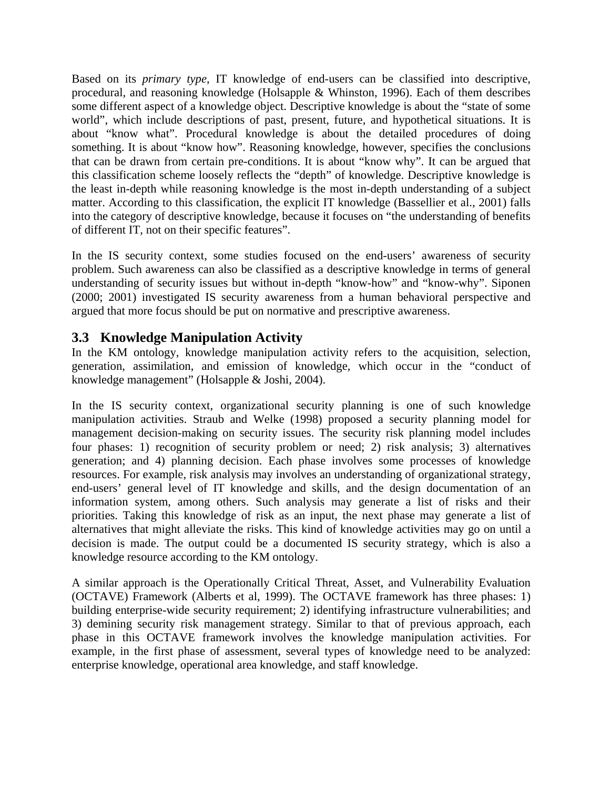Based on its *primary type*, IT knowledge of end-users can be classified into descriptive, procedural, and reasoning knowledge (Holsapple & Whinston, 1996). Each of them describes some different aspect of a knowledge object. Descriptive knowledge is about the "state of some world", which include descriptions of past, present, future, and hypothetical situations. It is about "know what". Procedural knowledge is about the detailed procedures of doing something. It is about "know how". Reasoning knowledge, however, specifies the conclusions that can be drawn from certain pre-conditions. It is about "know why". It can be argued that this classification scheme loosely reflects the "depth" of knowledge. Descriptive knowledge is the least in-depth while reasoning knowledge is the most in-depth understanding of a subject matter. According to this classification, the explicit IT knowledge (Bassellier et al., 2001) falls into the category of descriptive knowledge, because it focuses on "the understanding of benefits of different IT, not on their specific features".

In the IS security context, some studies focused on the end-users' awareness of security problem. Such awareness can also be classified as a descriptive knowledge in terms of general understanding of security issues but without in-depth "know-how" and "know-why". Siponen (2000; 2001) investigated IS security awareness from a human behavioral perspective and argued that more focus should be put on normative and prescriptive awareness.

## **3.3 Knowledge Manipulation Activity**

In the KM ontology, knowledge manipulation activity refers to the acquisition, selection, generation, assimilation, and emission of knowledge, which occur in the "conduct of knowledge management" (Holsapple & Joshi, 2004).

In the IS security context, organizational security planning is one of such knowledge manipulation activities. Straub and Welke (1998) proposed a security planning model for management decision-making on security issues. The security risk planning model includes four phases: 1) recognition of security problem or need; 2) risk analysis; 3) alternatives generation; and 4) planning decision. Each phase involves some processes of knowledge resources. For example, risk analysis may involves an understanding of organizational strategy, end-users' general level of IT knowledge and skills, and the design documentation of an information system, among others. Such analysis may generate a list of risks and their priorities. Taking this knowledge of risk as an input, the next phase may generate a list of alternatives that might alleviate the risks. This kind of knowledge activities may go on until a decision is made. The output could be a documented IS security strategy, which is also a knowledge resource according to the KM ontology.

A similar approach is the Operationally Critical Threat, Asset, and Vulnerability Evaluation (OCTAVE) Framework (Alberts et al, 1999). The OCTAVE framework has three phases: 1) building enterprise-wide security requirement; 2) identifying infrastructure vulnerabilities; and 3) demining security risk management strategy. Similar to that of previous approach, each phase in this OCTAVE framework involves the knowledge manipulation activities. For example, in the first phase of assessment, several types of knowledge need to be analyzed: enterprise knowledge, operational area knowledge, and staff knowledge.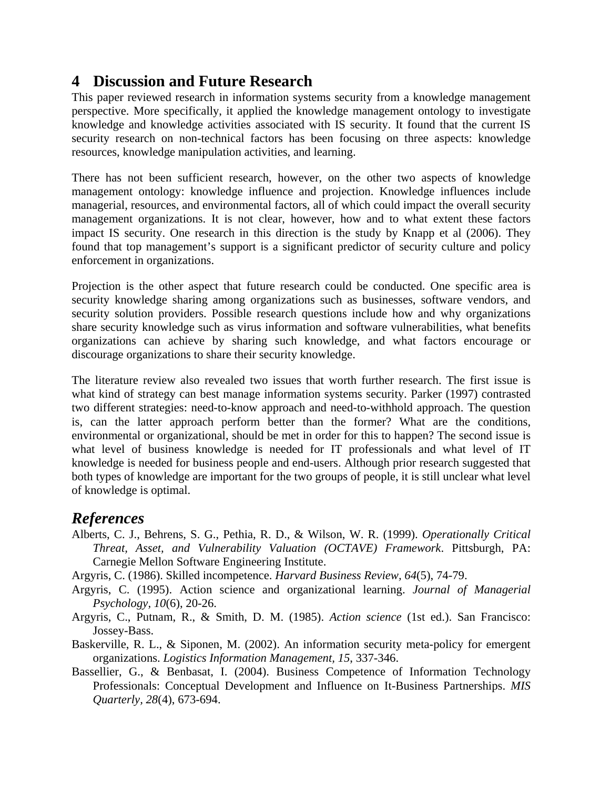# **4 Discussion and Future Research**

This paper reviewed research in information systems security from a knowledge management perspective. More specifically, it applied the knowledge management ontology to investigate knowledge and knowledge activities associated with IS security. It found that the current IS security research on non-technical factors has been focusing on three aspects: knowledge resources, knowledge manipulation activities, and learning.

There has not been sufficient research, however, on the other two aspects of knowledge management ontology: knowledge influence and projection. Knowledge influences include managerial, resources, and environmental factors, all of which could impact the overall security management organizations. It is not clear, however, how and to what extent these factors impact IS security. One research in this direction is the study by Knapp et al (2006). They found that top management's support is a significant predictor of security culture and policy enforcement in organizations.

Projection is the other aspect that future research could be conducted. One specific area is security knowledge sharing among organizations such as businesses, software vendors, and security solution providers. Possible research questions include how and why organizations share security knowledge such as virus information and software vulnerabilities, what benefits organizations can achieve by sharing such knowledge, and what factors encourage or discourage organizations to share their security knowledge.

The literature review also revealed two issues that worth further research. The first issue is what kind of strategy can best manage information systems security. Parker (1997) contrasted two different strategies: need-to-know approach and need-to-withhold approach. The question is, can the latter approach perform better than the former? What are the conditions, environmental or organizational, should be met in order for this to happen? The second issue is what level of business knowledge is needed for IT professionals and what level of IT knowledge is needed for business people and end-users. Although prior research suggested that both types of knowledge are important for the two groups of people, it is still unclear what level of knowledge is optimal.

# *References*

- Alberts, C. J., Behrens, S. G., Pethia, R. D., & Wilson, W. R. (1999). *Operationally Critical Threat, Asset, and Vulnerability Valuation (OCTAVE) Framework*. Pittsburgh, PA: Carnegie Mellon Software Engineering Institute.
- Argyris, C. (1986). Skilled incompetence. *Harvard Business Review, 64*(5), 74-79.
- Argyris, C. (1995). Action science and organizational learning. *Journal of Managerial Psychology, 10*(6), 20-26.
- Argyris, C., Putnam, R., & Smith, D. M. (1985). *Action science* (1st ed.). San Francisco: Jossey-Bass.
- Baskerville, R. L., & Siponen, M. (2002). An information security meta-policy for emergent organizations. *Logistics Information Management, 15*, 337-346.
- Bassellier, G., & Benbasat, I. (2004). Business Competence of Information Technology Professionals: Conceptual Development and Influence on It-Business Partnerships. *MIS Quarterly, 28*(4), 673-694.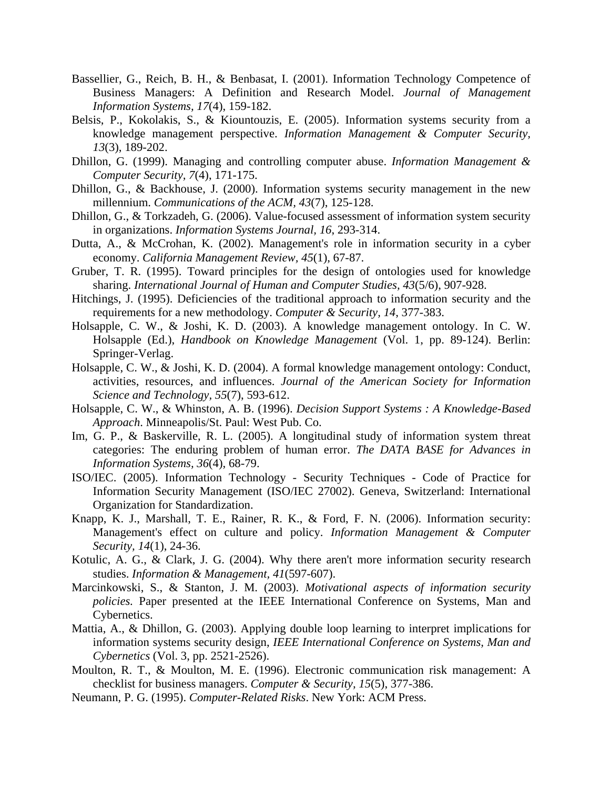- Bassellier, G., Reich, B. H., & Benbasat, I. (2001). Information Technology Competence of Business Managers: A Definition and Research Model. *Journal of Management Information Systems, 17*(4), 159-182.
- Belsis, P., Kokolakis, S., & Kiountouzis, E. (2005). Information systems security from a knowledge management perspective. *Information Management & Computer Security, 13*(3), 189-202.
- Dhillon, G. (1999). Managing and controlling computer abuse. *Information Management & Computer Security, 7*(4), 171-175.
- Dhillon, G., & Backhouse, J. (2000). Information systems security management in the new millennium. *Communications of the ACM, 43*(7), 125-128.
- Dhillon, G., & Torkzadeh, G. (2006). Value-focused assessment of information system security in organizations. *Information Systems Journal, 16*, 293-314.
- Dutta, A., & McCrohan, K. (2002). Management's role in information security in a cyber economy. *California Management Review, 45*(1), 67-87.
- Gruber, T. R. (1995). Toward principles for the design of ontologies used for knowledge sharing. *International Journal of Human and Computer Studies, 43*(5/6), 907-928.
- Hitchings, J. (1995). Deficiencies of the traditional approach to information security and the requirements for a new methodology. *Computer & Security, 14*, 377-383.
- Holsapple, C. W., & Joshi, K. D. (2003). A knowledge management ontology. In C. W. Holsapple (Ed.), *Handbook on Knowledge Management* (Vol. 1, pp. 89-124). Berlin: Springer-Verlag.
- Holsapple, C. W., & Joshi, K. D. (2004). A formal knowledge management ontology: Conduct, activities, resources, and influences. *Journal of the American Society for Information Science and Technology, 55*(7), 593-612.
- Holsapple, C. W., & Whinston, A. B. (1996). *Decision Support Systems : A Knowledge-Based Approach*. Minneapolis/St. Paul: West Pub. Co.
- Im, G. P., & Baskerville, R. L. (2005). A longitudinal study of information system threat categories: The enduring problem of human error. *The DATA BASE for Advances in Information Systems, 36*(4), 68-79.
- ISO/IEC. (2005). Information Technology Security Techniques Code of Practice for Information Security Management (ISO/IEC 27002). Geneva, Switzerland: International Organization for Standardization.
- Knapp, K. J., Marshall, T. E., Rainer, R. K., & Ford, F. N. (2006). Information security: Management's effect on culture and policy. *Information Management & Computer Security, 14*(1), 24-36.
- Kotulic, A. G., & Clark, J. G. (2004). Why there aren't more information security research studies. *Information & Management, 41*(597-607).
- Marcinkowski, S., & Stanton, J. M. (2003). *Motivational aspects of information security policies.* Paper presented at the IEEE International Conference on Systems, Man and Cybernetics.
- Mattia, A., & Dhillon, G. (2003). Applying double loop learning to interpret implications for information systems security design, *IEEE International Conference on Systems, Man and Cybernetics* (Vol. 3, pp. 2521-2526).
- Moulton, R. T., & Moulton, M. E. (1996). Electronic communication risk management: A checklist for business managers. *Computer & Security, 15*(5), 377-386.
- Neumann, P. G. (1995). *Computer-Related Risks*. New York: ACM Press.